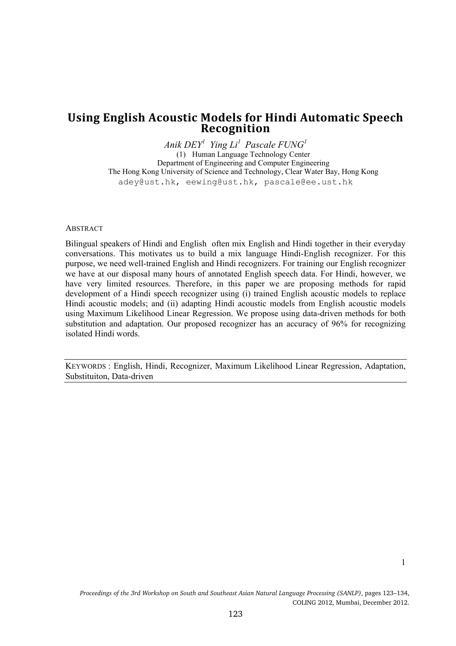# **Using!English!Acoustic!Models!for!Hindi!Automatic!Speech! Recognition**

*Anik DEY1 Ying Li1 Pascale FUNG1* (1) Human Language Technology Center Department of Engineering and Computer Engineering The Hong Kong University of Science and Technology, Clear Water Bay, Hong Kong adey@ust.hk, eewing@ust.hk, pascale@ee.ust.hk

#### **ABSTRACT**

Bilingual speakers of Hindi and English often mix English and Hindi together in their everyday conversations. This motivates us to build a mix language Hindi-English recognizer. For this purpose, we need well-trained English and Hindi recognizers. For training our English recognizer we have at our disposal many hours of annotated English speech data. For Hindi, however, we have very limited resources. Therefore, in this paper we are proposing methods for rapid development of a Hindi speech recognizer using (i) trained English acoustic models to replace Hindi acoustic models; and (ii) adapting Hindi acoustic models from English acoustic models using Maximum Likelihood Linear Regression. We propose using data-driven methods for both substitution and adaptation. Our proposed recognizer has an accuracy of 96% for recognizing isolated Hindi words.

KEYWORDS : English, Hindi, Recognizer, Maximum Likelihood Linear Regression, Adaptation, Substituiton, Data-driven

*Proceedings of the 3rd Workshop on South and Southeast Asian Natural Language Processing (SANLP)*, pages 123–134, COLING 2012, Mumbai, December 2012.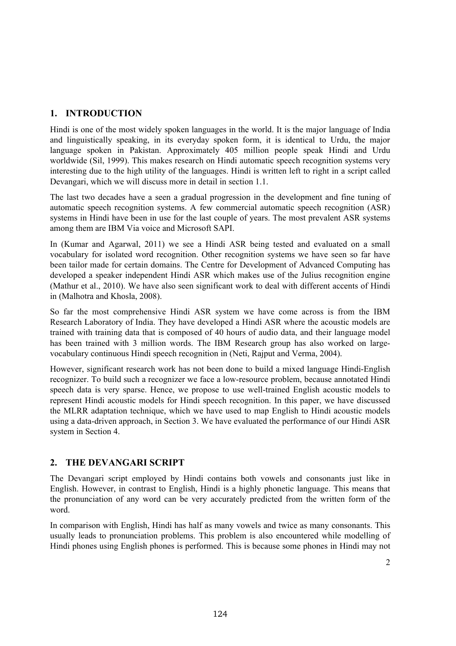## **1. INTRODUCTION**

Hindi is one of the most widely spoken languages in the world. It is the major language of India and linguistically speaking, in its everyday spoken form, it is identical to Urdu, the major language spoken in Pakistan. Approximately 405 million people speak Hindi and Urdu worldwide (Sil, 1999). This makes research on Hindi automatic speech recognition systems very interesting due to the high utility of the languages. Hindi is written left to right in a script called Devangari, which we will discuss more in detail in section 1.1.

The last two decades have a seen a gradual progression in the development and fine tuning of automatic speech recognition systems. A few commercial automatic speech recognition (ASR) systems in Hindi have been in use for the last couple of years. The most prevalent ASR systems among them are IBM Via voice and Microsoft SAPI.

In (Kumar and Agarwal, 2011) we see a Hindi ASR being tested and evaluated on a small vocabulary for isolated word recognition. Other recognition systems we have seen so far have been tailor made for certain domains. The Centre for Development of Advanced Computing has developed a speaker independent Hindi ASR which makes use of the Julius recognition engine (Mathur et al., 2010). We have also seen significant work to deal with different accents of Hindi in (Malhotra and Khosla, 2008).

So far the most comprehensive Hindi ASR system we have come across is from the IBM Research Laboratory of India. They have developed a Hindi ASR where the acoustic models are trained with training data that is composed of 40 hours of audio data, and their language model has been trained with 3 million words. The IBM Research group has also worked on largevocabulary continuous Hindi speech recognition in (Neti, Rajput and Verma, 2004).

However, significant research work has not been done to build a mixed language Hindi-English recognizer. To build such a recognizer we face a low-resource problem, because annotated Hindi speech data is very sparse. Hence, we propose to use well-trained English acoustic models to represent Hindi acoustic models for Hindi speech recognition. In this paper, we have discussed the MLRR adaptation technique, which we have used to map English to Hindi acoustic models using a data-driven approach, in Section 3. We have evaluated the performance of our Hindi ASR system in Section 4.

### **2. THE DEVANGARI SCRIPT**

The Devangari script employed by Hindi contains both vowels and consonants just like in English. However, in contrast to English, Hindi is a highly phonetic language. This means that the pronunciation of any word can be very accurately predicted from the written form of the word.

In comparison with English, Hindi has half as many vowels and twice as many consonants. This usually leads to pronunciation problems. This problem is also encountered while modelling of Hindi phones using English phones is performed. This is because some phones in Hindi may not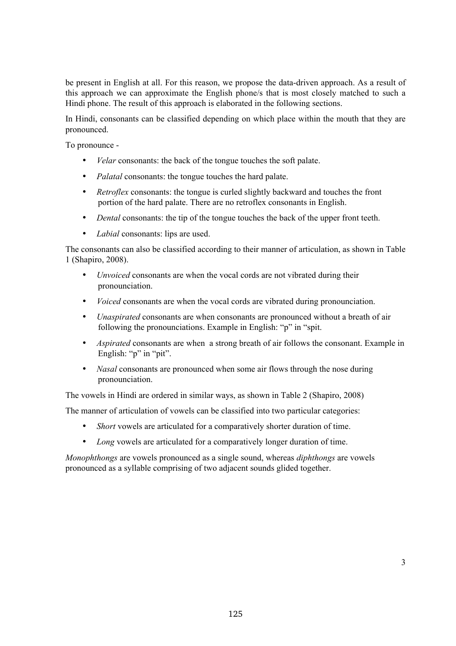be present in English at all. For this reason, we propose the data-driven approach. As a result of this approach we can approximate the English phone/s that is most closely matched to such a Hindi phone. The result of this approach is elaborated in the following sections.

In Hindi, consonants can be classified depending on which place within the mouth that they are pronounced.

To pronounce -

- *Velar* consonants: the back of the tongue touches the soft palate.
- *Palatal* consonants: the tongue touches the hard palate.
- *Retroflex* consonants: the tongue is curled slightly backward and touches the front portion of the hard palate. There are no retroflex consonants in English.
- *Dental* consonants: the tip of the tongue touches the back of the upper front teeth.
- *Labial* consonants: lips are used.

The consonants can also be classified according to their manner of articulation, as shown in Table 1 (Shapiro, 2008).

- *Unvoiced* consonants are when the vocal cords are not vibrated during their pronounciation.
- *Voiced* consonants are when the vocal cords are vibrated during pronounciation.
- *Unaspirated* consonants are when consonants are pronounced without a breath of air following the pronounciations. Example in English: "p" in "spit.
- *Aspirated* consonants are when a strong breath of air follows the consonant. Example in English: "p" in "pit".
- *Nasal* consonants are pronounced when some air flows through the nose during pronounciation.

The vowels in Hindi are ordered in similar ways, as shown in Table 2 (Shapiro, 2008)

The manner of articulation of vowels can be classified into two particular categories:

- Short vowels are articulated for a comparatively shorter duration of time.
- Long vowels are articulated for a comparatively longer duration of time.

*Monophthongs* are vowels pronounced as a single sound, whereas *diphthongs* are vowels pronounced as a syllable comprising of two adjacent sounds glided together.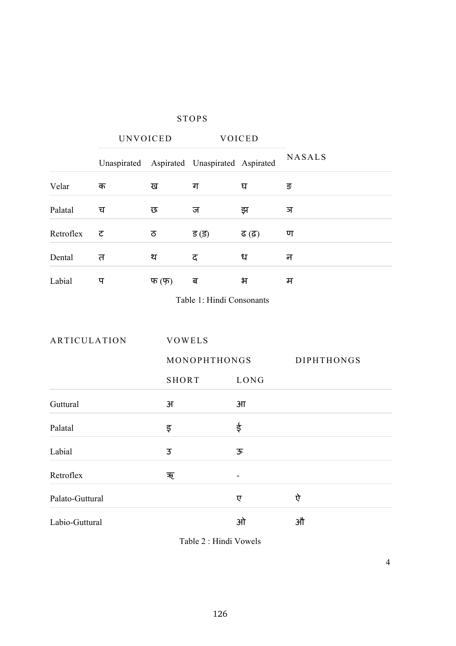|           | <b>UNVOICED</b> |        | <b>VOICED</b>                               |        |               |
|-----------|-----------------|--------|---------------------------------------------|--------|---------------|
|           |                 |        | Unaspirated Aspirated Unaspirated Aspirated |        | <b>NASALS</b> |
| Velar     | क               | ख      | ग                                           | घ      | ङ             |
| Palatal   | च               | छ      | ज                                           | झ      | ञ             |
| Retroflex | ਟ               | ਠ      | ਤ (ਤ)                                       | ढ (ढ़) | ण             |
| Dental    | त               | थ      | द                                           | ध      | न             |
| Labial    | प               | फ (फ़) | ब                                           | भ      | म             |

**STOPS** 

Table 1: Hindi Consonants

| ARTICULATION    | <b>VOWELS</b> |      |                   |  |
|-----------------|---------------|------|-------------------|--|
|                 | MONOPHTHONGS  |      | <b>DIPHTHONGS</b> |  |
|                 | SHORT         | LONG |                   |  |
| Guttural        | 31            | आ    |                   |  |
| Palatal         | इ             | ई    |                   |  |
| Labial          | 3             | ऊ    |                   |  |
| Retroflex       | ऋ             |      |                   |  |
| Palato-Guttural |               | ए    | <u>ਦੇ</u>         |  |
| Labio-Guttural  |               | ओ    | औ                 |  |

Table 2 : Hindi Vowels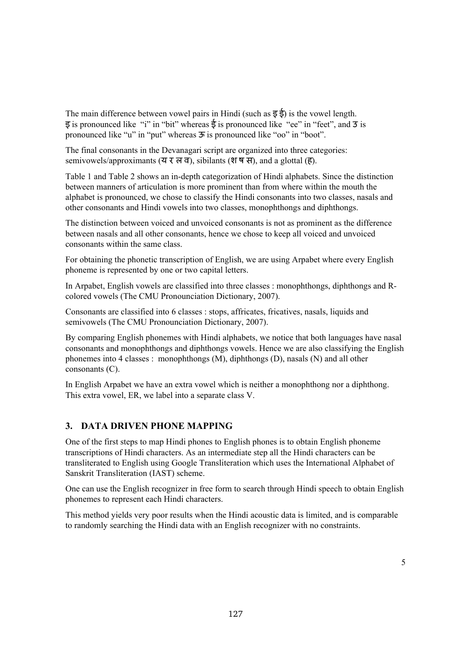The main difference between vowel pairs in Hindi (such as  $\overline{s}$  is the vowel length. इ is pronounced like "i" in "bit" whereas ई is pronounced like "ee" in "feet", and उ is pronounced like "u" in "put" whereas  $\overline{\mathcal{F}}$  is pronounced like "oo" in "boot".

The final consonants in the Devanagari script are organized into three categories: semivowels/approximants (य र ल व), sibilants (श ष स), and a glottal (ह).

Table 1 and Table 2 shows an in-depth categorization of Hindi alphabets. Since the distinction between manners of articulation is more prominent than from where within the mouth the alphabet is pronounced, we chose to classify the Hindi consonants into two classes, nasals and other consonants and Hindi vowels into two classes, monophthongs and diphthongs.

The distinction between voiced and unvoiced consonants is not as prominent as the difference between nasals and all other consonants, hence we chose to keep all voiced and unvoiced consonants within the same class.

For obtaining the phonetic transcription of English, we are using Arpabet where every English phoneme is represented by one or two capital letters.

In Arpabet, English vowels are classified into three classes : monophthongs, diphthongs and Rcolored vowels (The CMU Pronounciation Dictionary, 2007).

Consonants are classified into 6 classes : stops, affricates, fricatives, nasals, liquids and semivowels (The CMU Pronounciation Dictionary, 2007).

By comparing English phonemes with Hindi alphabets, we notice that both languages have nasal consonants and monophthongs and diphthongs vowels. Hence we are also classifying the English phonemes into 4 classes : monophthongs (M), diphthongs (D), nasals (N) and all other consonants (C).

In English Arpabet we have an extra vowel which is neither a monophthong nor a diphthong. This extra vowel, ER, we label into a separate class V.

## **3. DATA DRIVEN PHONE MAPPING**

One of the first steps to map Hindi phones to English phones is to obtain English phoneme transcriptions of Hindi characters. As an intermediate step all the Hindi characters can be transliterated to English using Google Transliteration which uses the International Alphabet of Sanskrit Transliteration (IAST) scheme.

One can use the English recognizer in free form to search through Hindi speech to obtain English phonemes to represent each Hindi characters.

This method yields very poor results when the Hindi acoustic data is limited, and is comparable to randomly searching the Hindi data with an English recognizer with no constraints.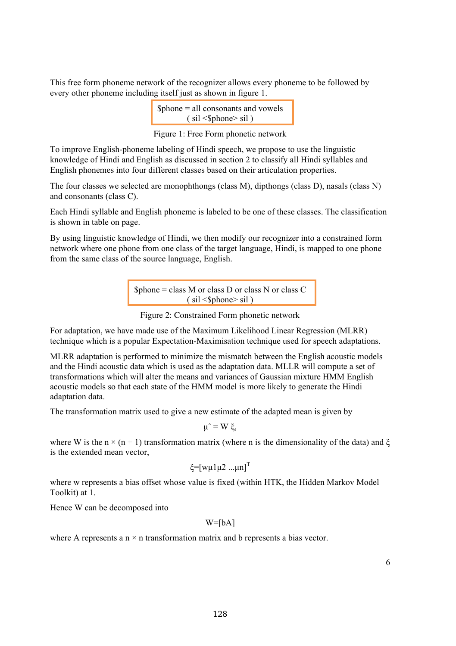This free form phoneme network of the recognizer allows every phoneme to be followed by every other phoneme including itself just as shown in figure 1.

$$
8phone = all consonants and vowels( sil  $$phone > sil$ )
$$

Figure 1: Free Form phonetic network

To improve English-phoneme labeling of Hindi speech, we propose to use the linguistic knowledge of Hindi and English as discussed in section 2 to classify all Hindi syllables and English phonemes into four different classes based on their articulation properties.

The four classes we selected are monophthongs (class M), dipthongs (class D), nasals (class N) and consonants (class C).

Each Hindi syllable and English phoneme is labeled to be one of these classes. The classification is shown in table on page.

By using linguistic knowledge of Hindi, we then modify our recognizer into a constrained form network where one phone from one class of the target language, Hindi, is mapped to one phone from the same class of the source language, English.

> $$phone = class M or class D or class N or class C$ ( sil <\$phone> sil )

Figure 2: Constrained Form phonetic network

For adaptation, we have made use of the Maximum Likelihood Linear Regression (MLRR) technique which is a popular Expectation-Maximisation technique used for speech adaptations.

MLRR adaptation is performed to minimize the mismatch between the English acoustic models and the Hindi acoustic data which is used as the adaptation data. MLLR will compute a set of transformations which will alter the means and variances of Gaussian mixture HMM English acoustic models so that each state of the HMM model is more likely to generate the Hindi adaptation data.

The transformation matrix used to give a new estimate of the adapted mean is given by

$$
\mu^{\hat{}} = W \xi,
$$

where W is the n  $\times$  (n + 1) transformation matrix (where n is the dimensionality of the data) and  $\xi$ is the extended mean vector.

$$
\xi = [w\mu 1\mu 2 \ldots \mu n]^T
$$

where w represents a bias offset whose value is fixed (within HTK, the Hidden Markov Model Toolkit) at 1.

Hence W can be decomposed into

$$
W=[bA]
$$

where A represents a  $n \times n$  transformation matrix and b represents a bias vector.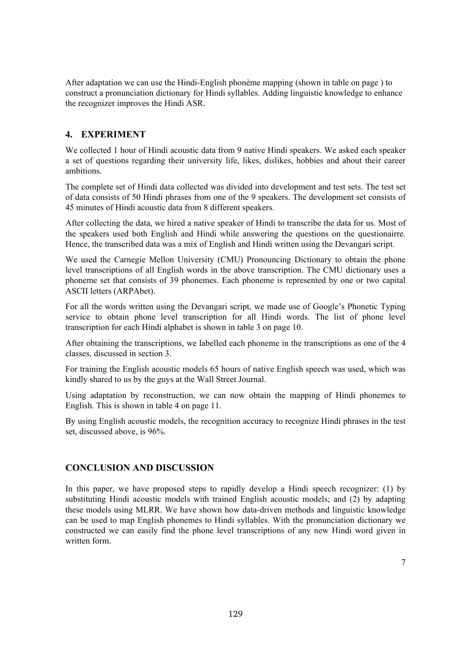After adaptation we can use the Hindi-English phonème mapping (shown in table on page ) to construct a pronunciation dictionary for Hindi syllables. Adding linguistic knowledge to enhance the recognizer improves the Hindi ASR.

# **4. EXPERIMENT**

We collected 1 hour of Hindi acoustic data from 9 native Hindi speakers. We asked each speaker a set of questions regarding their university life, likes, dislikes, hobbies and about their career ambitions.

The complete set of Hindi data collected was divided into development and test sets. The test set of data consists of 50 Hindi phrases from one of the 9 speakers. The development set consists of 45 minutes of Hindi acoustic data from 8 different speakers.

After collecting the data, we hired a native speaker of Hindi to transcribe the data for us. Most of the speakers used both English and Hindi while answering the questions on the questionairre. Hence, the transcribed data was a mix of English and Hindi written using the Devangari script.

We used the Carnegie Mellon University (CMU) Pronouncing Dictionary to obtain the phone level transcriptions of all English words in the above transcription. The CMU dictionary uses a phoneme set that consists of 39 phonemes. Each phoneme is represented by one or two capital ASCII letters (ARPAbet).

For all the words written using the Devangari script, we made use of Google's Phonetic Typing service to obtain phone level transcription for all Hindi words. The list of phone level transcription for each Hindi alphabet is shown in table 3 on page 10.

After obtaining the transcriptions, we labelled each phoneme in the transcriptions as one of the 4 classes, discussed in section 3.

For training the English acoustic models 65 hours of native English speech was used, which was kindly shared to us by the guys at the Wall Street Journal.

Using adaptation by reconstruction, we can now obtain the mapping of Hindi phonemes to English. This is shown in table 4 on page 11.

By using English acoustic models, the recognition accuracy to recognize Hindi phrases in the test set, discussed above, is 96%.

## **CONCLUSION AND DISCUSSION**

In this paper, we have proposed steps to rapidly develop a Hindi speech recognizer: (1) by substituting Hindi acoustic models with trained English acoustic models; and (2) by adapting these models using MLRR. We have shown how data-driven methods and linguistic knowledge can be used to map English phonemes to Hindi syllables. With the pronunciation dictionary we constructed we can easily find the phone level transcriptions of any new Hindi word given in written form.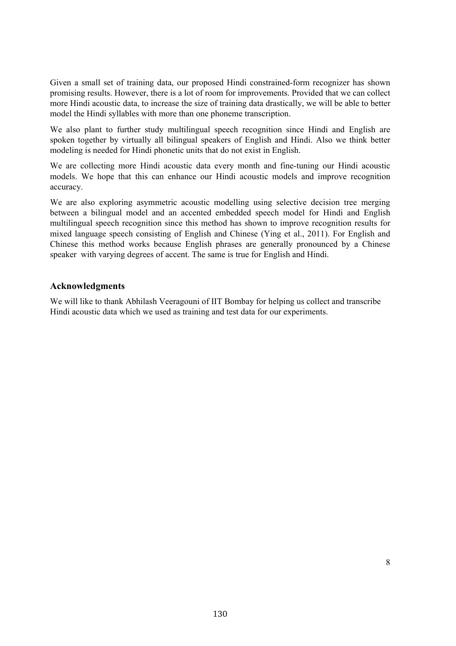Given a small set of training data, our proposed Hindi constrained-form recognizer has shown promising results. However, there is a lot of room for improvements. Provided that we can collect more Hindi acoustic data, to increase the size of training data drastically, we will be able to better model the Hindi syllables with more than one phoneme transcription.

We also plant to further study multilingual speech recognition since Hindi and English are spoken together by virtually all bilingual speakers of English and Hindi. Also we think better modeling is needed for Hindi phonetic units that do not exist in English.

We are collecting more Hindi acoustic data every month and fine-tuning our Hindi acoustic models. We hope that this can enhance our Hindi acoustic models and improve recognition accuracy.

We are also exploring asymmetric acoustic modelling using selective decision tree merging between a bilingual model and an accented embedded speech model for Hindi and English multilingual speech recognition since this method has shown to improve recognition results for mixed language speech consisting of English and Chinese (Ying et al., 2011). For English and Chinese this method works because English phrases are generally pronounced by a Chinese speaker with varying degrees of accent. The same is true for English and Hindi.

#### **Acknowledgments**

We will like to thank Abhilash Veeragouni of IIT Bombay for helping us collect and transcribe Hindi acoustic data which we used as training and test data for our experiments.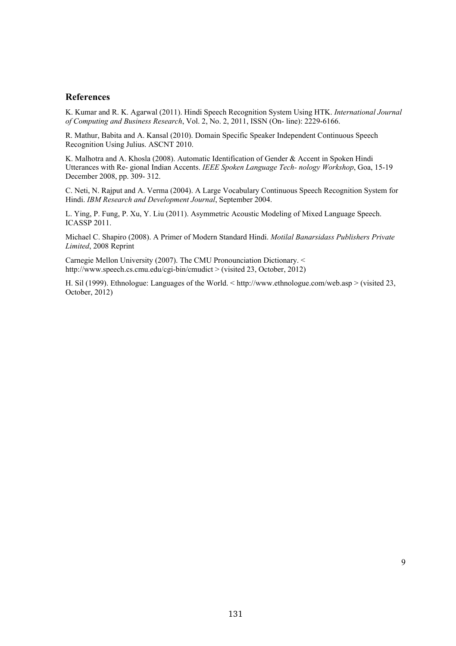#### **References**

K. Kumar and R. K. Agarwal (2011). Hindi Speech Recognition System Using HTK. *International Journal of Computing and Business Research*, Vol. 2, No. 2, 2011, ISSN (On- line): 2229-6166.

R. Mathur, Babita and A. Kansal (2010). Domain Specific Speaker Independent Continuous Speech Recognition Using Julius. ASCNT 2010.

K. Malhotra and A. Khosla (2008). Automatic Identification of Gender & Accent in Spoken Hindi Utterances with Re- gional Indian Accents. *IEEE Spoken Language Tech- nology Workshop*, Goa, 15-19 December 2008, pp. 309- 312.

C. Neti, N. Rajput and A. Verma (2004). A Large Vocabulary Continuous Speech Recognition System for Hindi. *IBM Research and Development Journal*, September 2004.

L. Ying, P. Fung, P. Xu, Y. Liu (2011). Asymmetric Acoustic Modeling of Mixed Language Speech. ICASSP 2011.

Michael C. Shapiro (2008). A Primer of Modern Standard Hindi. *Motilal Banarsidass Publishers Private Limited*, 2008 Reprint

Carnegie Mellon University (2007). The CMU Pronounciation Dictionary. < http://www.speech.cs.cmu.edu/cgi-bin/cmudict > (visited 23, October, 2012)

H. Sil (1999). Ethnologue: Languages of the World. < http://www.ethnologue.com/web.asp > (visited 23, October, 2012)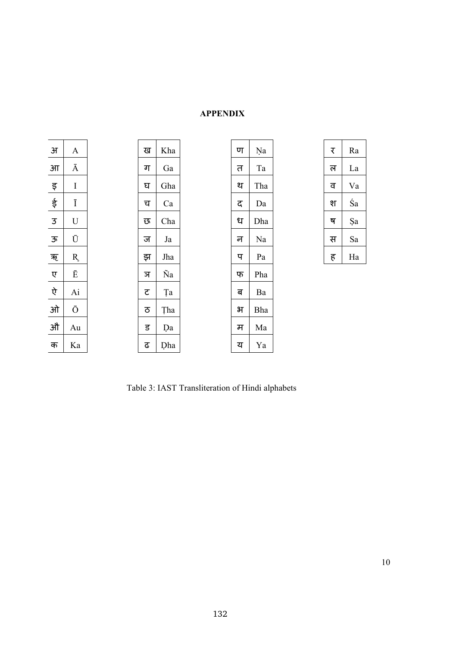# **APPENDIX**

| 3T |    |
|----|----|
| आ  |    |
| इ  | I  |
| ई  | Ī  |
| 3  | U  |
| ऊ  | Ū  |
| ऋ  | R  |
| ए  | Ē  |
| ऐ  | Ai |
| ओ  | Ō  |
| औ  | Au |
| क  | Kа |

| रव | Kha |
|----|-----|
| ग  | Ga  |
| ਬ  | Gha |
| च  | Ca  |
| छ  | Cha |
| ज  | Ja  |
| झ  | Jha |
| ञ  | Ñа  |
| ट  | Ta  |
| ਠ  | Tha |
| ਤ  | Da  |
| ढ  | Dha |
|    |     |

| ण  | Na  |
|----|-----|
| त  | Ta  |
| थ  | Tha |
| द  | Da  |
| ध  | Dha |
| न  | Na  |
| प  | Pa  |
| फ  | Pha |
| ਫ਼ | Ba  |
| भ  | Bha |
| म  | Ma  |
| य  | Ya  |
|    |     |

| ₹ | Ra |
|---|----|
| ल | La |
| ਰ | Va |
| श | Śа |
| ष | Şа |
| स | Sa |
| ह | Ha |

Table 3: IAST Transliteration of Hindi alphabets